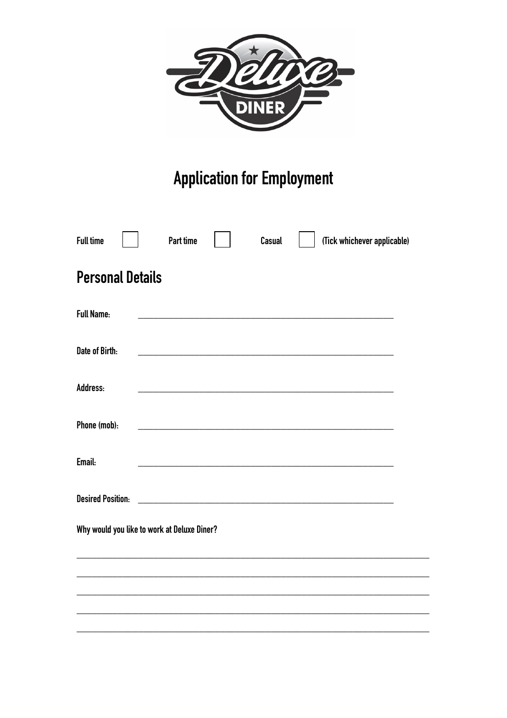

## **Application for Employment**

| <b>Full time</b>                            | <b>Part time</b> |                                                            | Casual | (Tick whichever applicable) |  |
|---------------------------------------------|------------------|------------------------------------------------------------|--------|-----------------------------|--|
| <b>Personal Details</b>                     |                  |                                                            |        |                             |  |
| <b>Full Name:</b>                           |                  |                                                            |        |                             |  |
| Date of Birth:                              |                  |                                                            |        |                             |  |
| Address:                                    |                  | <u> 1980 - Johann Barbara, martxa alemaniar amerikan a</u> |        |                             |  |
| Phone (mob):                                |                  |                                                            |        |                             |  |
| Email:                                      |                  |                                                            |        |                             |  |
| <b>Desired Position:</b>                    |                  |                                                            |        |                             |  |
| Why would you like to work at Deluxe Diner? |                  |                                                            |        |                             |  |
|                                             |                  |                                                            |        |                             |  |
|                                             |                  |                                                            |        |                             |  |
|                                             |                  |                                                            |        |                             |  |
|                                             |                  |                                                            |        |                             |  |

 $\overline{\phantom{a}}$ 

 $\overline{\phantom{0}}$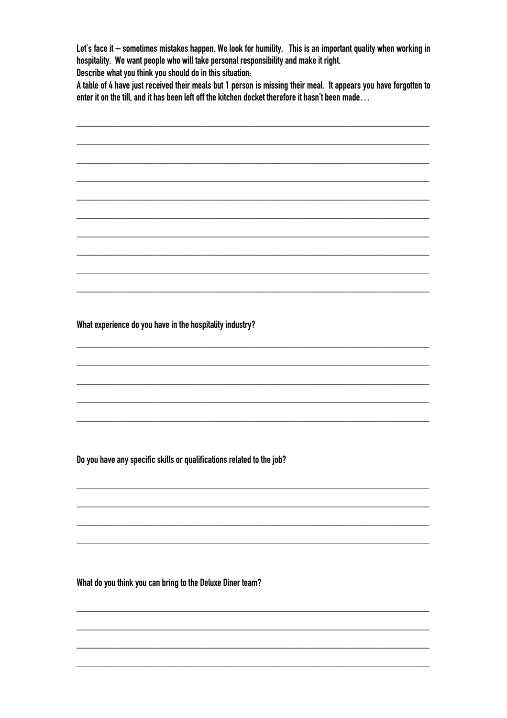Let's face it - sometimes mistakes happen. We look for humility. This is an important quality when working in hospitality. We want people who will take personal responsibility and make it right.

Describe what you think you should do in this situation:

A table of 4 have just received their meals but 1 person is missing their meal. It appears you have forgotten to enter it on the till, and it has been left off the kitchen docket therefore it hasn't been made...

## What experience do you have in the hospitality industry?

Do you have any specific skills or qualifications related to the job?

What do you think you can bring to the Deluxe Diner team?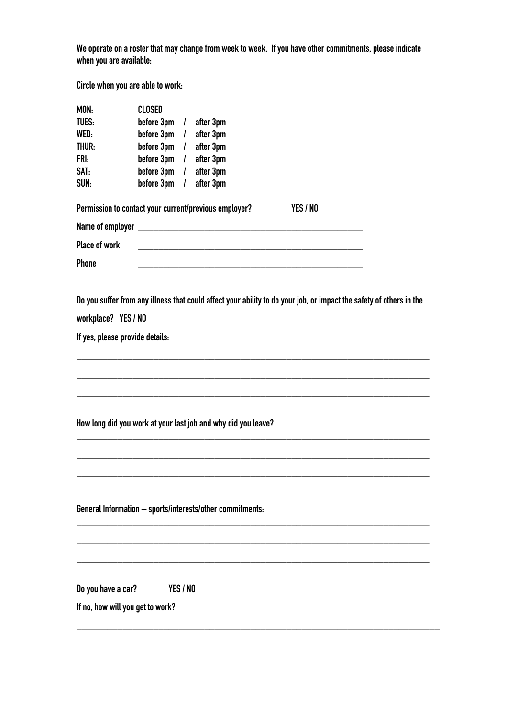We operate on a roster that may change from week to week. If you have other commitments, please indicate **when you are available:**

**Circle when you are able to work:**

| MON:                                                                                                                                                                          | <b>CLOSED</b> |               |           |          |  |  |
|-------------------------------------------------------------------------------------------------------------------------------------------------------------------------------|---------------|---------------|-----------|----------|--|--|
| <b>TUES:</b>                                                                                                                                                                  | before 3pm    | $\mathcal{L}$ | after 3pm |          |  |  |
| WED:                                                                                                                                                                          | before 3pm    | $\perp$       | after 3pm |          |  |  |
| THUR:                                                                                                                                                                         | before 3pm    | $\mathcal{L}$ | after 3pm |          |  |  |
| FRI:                                                                                                                                                                          | before 3pm    | $\perp$       | after 3pm |          |  |  |
| SAT:                                                                                                                                                                          | before 3pm    | $\mathcal{L}$ | after 3pm |          |  |  |
| SUN:                                                                                                                                                                          | before 3pm    | $\mathcal{L}$ | after 3pm |          |  |  |
| Permission to contact your current/previous employer?                                                                                                                         |               |               |           | YES / NO |  |  |
|                                                                                                                                                                               |               |               |           |          |  |  |
| Place of work                                                                                                                                                                 |               |               |           |          |  |  |
| Phone                                                                                                                                                                         |               |               |           |          |  |  |
| Do you suffer from any illness that could affect your ability to do your job, or impact the safety of others in the<br>workplace? YES / NO<br>If yes, please provide details: |               |               |           |          |  |  |
| How long did you work at your last job and why did you leave?                                                                                                                 |               |               |           |          |  |  |
|                                                                                                                                                                               |               |               |           |          |  |  |
| General Information - sports/interests/other commitments:                                                                                                                     |               |               |           |          |  |  |
|                                                                                                                                                                               |               |               |           |          |  |  |
|                                                                                                                                                                               |               |               |           |          |  |  |
|                                                                                                                                                                               |               |               |           |          |  |  |
| Do you have a car?                                                                                                                                                            |               | YES / NO      |           |          |  |  |
| If no, how will you get to work?                                                                                                                                              |               |               |           |          |  |  |

**\_\_\_\_\_\_\_\_\_\_\_\_\_\_\_\_\_\_\_\_\_\_\_\_\_\_\_\_\_\_\_\_\_\_\_\_\_\_\_\_\_\_\_\_\_\_\_\_\_\_\_\_\_\_\_\_\_\_\_\_\_\_\_\_\_\_\_\_\_\_\_**